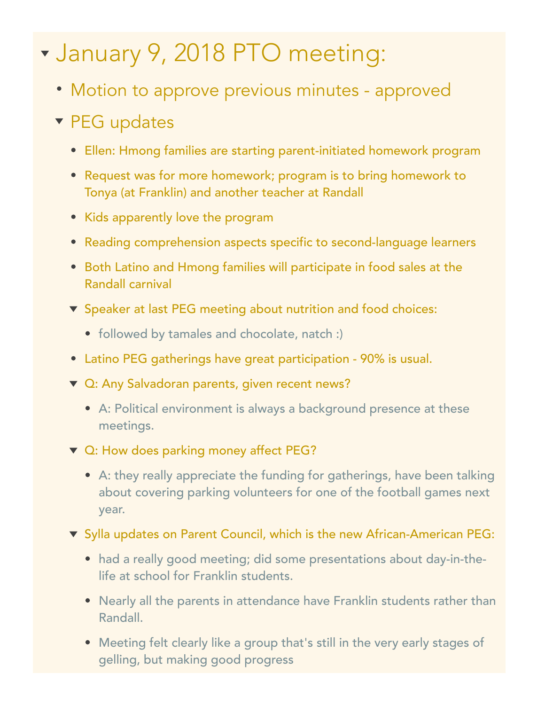## January 9, 2018 PTO meeting:

- Motion to approve previous minutes approved
- **v** PEG updates
	- Ellen: Hmong families are starting parent-initiated homework program
	- Request was for more homework; program is to bring homework to Tonya (at Franklin) and another teacher at Randall
	- Kids apparently love the program
	- Reading comprehension aspects specific to second-language learners
	- Both Latino and Hmong families will participate in food sales at the Randall carnival
	- ▼ Speaker at last PEG meeting about nutrition and food choices:
		- followed by tamales and chocolate, natch :)
	- Latino PEG gatherings have great participation 90% is usual.
	- ▼ Q: Any Salvadoran parents, given recent news?
		- A: Political environment is always a background presence at these meetings.
	- ▼ Q: How does parking money affect PEG?
		- A: they really appreciate the funding for gatherings, have been talking about covering parking volunteers for one of the football games next year.
	- ▼ Sylla updates on Parent Council, which is the new African-American PEG:
		- had a really good meeting; did some presentations about day-in-thelife at school for Franklin students.
		- Nearly all the parents in attendance have Franklin students rather than Randall.
		- Meeting felt clearly like a group that's still in the very early stages of gelling, but making good progress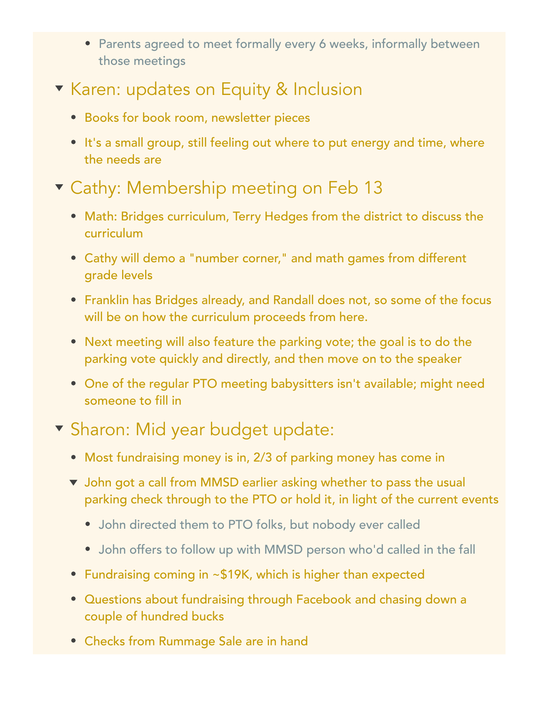- Parents agreed to meet formally every 6 weeks, informally between those meetings
- **Karen: updates on Equity & Inclusion** 
	- Books for book room, newsletter pieces
	- It's a small group, still feeling out where to put energy and time, where the needs are

## **v** Cathy: Membership meeting on Feb 13

- Math: Bridges curriculum, Terry Hedges from the district to discuss the curriculum
- Cathy will demo a "number corner," and math games from different grade levels
- Franklin has Bridges already, and Randall does not, so some of the focus will be on how the curriculum proceeds from here.
- Next meeting will also feature the parking vote; the goal is to do the parking vote quickly and directly, and then move on to the speaker
- One of the regular PTO meeting babysitters isn't available; might need someone to fill in

## **v** Sharon: Mid year budget update:

- Most fundraising money is in, 2/3 of parking money has come in
- John got a call from MMSD earlier asking whether to pass the usual parking check through to the PTO or hold it, in light of the current events
	- John directed them to PTO folks, but nobody ever called
	- John offers to follow up with MMSD person who'd called in the fall
- Fundraising coming in ~\$19K, which is higher than expected
- Questions about fundraising through Facebook and chasing down a couple of hundred bucks
- Checks from Rummage Sale are in hand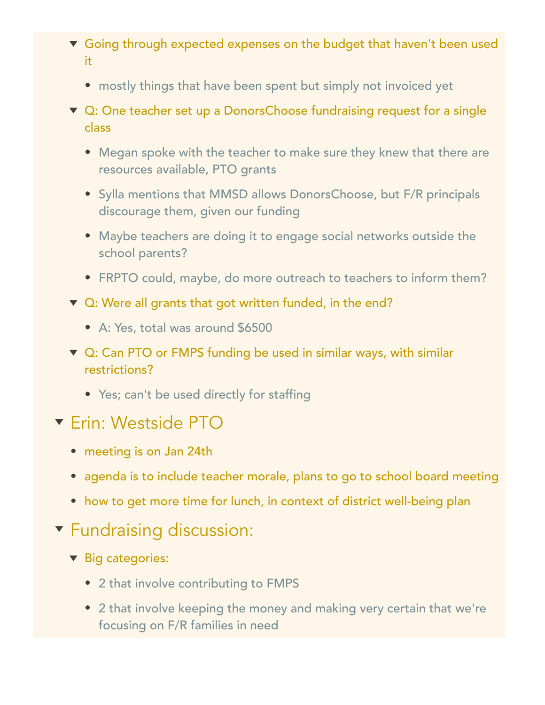- Going through expected expenses on the budget that haven't been used it
	- mostly things that have been spent but simply not invoiced yet
- ▼ Q: One teacher set up a DonorsChoose fundraising request for a single class
	- Megan spoke with the teacher to make sure they knew that there are resources available, PTO grants
	- Sylla mentions that MMSD allows DonorsChoose, but F/R principals discourage them, given our funding
	- Maybe teachers are doing it to engage social networks outside the school parents?
	- FRPTO could, maybe, do more outreach to teachers to inform them?
- ▼ Q: Were all grants that got written funded, in the end?
	- A: Yes, total was around \$6500
- ▼ Q: Can PTO or FMPS funding be used in similar ways, with similar restrictions?
	- Yes; can't be used directly for staffing
- Erin: Westside PTO
	- meeting is on Jan 24th
	- agenda is to include teacher morale, plans to go to school board meeting
	- how to get more time for lunch, in context of district well-being plan
- **T** Fundraising discussion:
	- ▼ Big categories:
		- 2 that involve contributing to FMPS
		- 2 that involve keeping the money and making very certain that we're focusing on F/R families in need